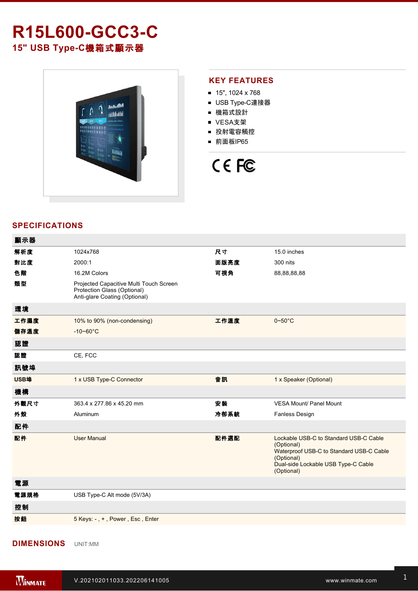# **R15L600-GCC3-C 15" USB TypeC**機箱式顯示器



#### **KEY FEATURES**

- 15", 1024 x 768
- USB Type-C連接器
- 機箱式設計
- VESA支架
- 投射電容觸控
- 前面板IP65

# CE FC

### **SPECIFICATIONS**

| 顯示器  |                                                                                                         |      |                                                                                                                                                                     |
|------|---------------------------------------------------------------------------------------------------------|------|---------------------------------------------------------------------------------------------------------------------------------------------------------------------|
| 解析度  | 1024x768                                                                                                | 尺寸   | 15.0 inches                                                                                                                                                         |
| 對比度  | 2000:1                                                                                                  | 面版亮度 | 300 nits                                                                                                                                                            |
| 色階   | 16.2M Colors                                                                                            | 可視角  | 88,88,88,88                                                                                                                                                         |
| 類型   | Projected Capacitive Multi Touch Screen<br>Protection Glass (Optional)<br>Anti-glare Coating (Optional) |      |                                                                                                                                                                     |
| 環境   |                                                                                                         |      |                                                                                                                                                                     |
| 工作濕度 | 10% to 90% (non-condensing)                                                                             | 工作溫度 | $0\negthinspace\negthinspace\negthinspace 50^{\circ}\mathrm{C}$                                                                                                     |
| 儲存溫度 | $-10-60^{\circ}$ C                                                                                      |      |                                                                                                                                                                     |
| 認證   |                                                                                                         |      |                                                                                                                                                                     |
| 認證   | CE, FCC                                                                                                 |      |                                                                                                                                                                     |
| 訊號埠  |                                                                                                         |      |                                                                                                                                                                     |
| USB埠 | 1 x USB Type-C Connector                                                                                | 音訊   | 1 x Speaker (Optional)                                                                                                                                              |
| 機構   |                                                                                                         |      |                                                                                                                                                                     |
| 外觀尺寸 | 363.4 x 277.86 x 45.20 mm                                                                               | 安裝   | <b>VESA Mount/ Panel Mount</b>                                                                                                                                      |
| 外殼   | Aluminum                                                                                                | 冷卻系統 | Fanless Design                                                                                                                                                      |
| 配件   |                                                                                                         |      |                                                                                                                                                                     |
| 配件   | <b>User Manual</b>                                                                                      | 配件選配 | Lockable USB-C to Standard USB-C Cable<br>(Optional)<br>Waterproof USB-C to Standard USB-C Cable<br>(Optional)<br>Dual-side Lockable USB Type-C Cable<br>(Optional) |
| 電源   |                                                                                                         |      |                                                                                                                                                                     |
| 電源規格 | USB Type-C Alt mode (5V/3A)                                                                             |      |                                                                                                                                                                     |
| 控制   |                                                                                                         |      |                                                                                                                                                                     |
| 按鈕   | 5 Keys: -, +, Power, Esc, Enter                                                                         |      |                                                                                                                                                                     |
|      |                                                                                                         |      |                                                                                                                                                                     |

#### **DIMENSIONS**  UNIT:MM